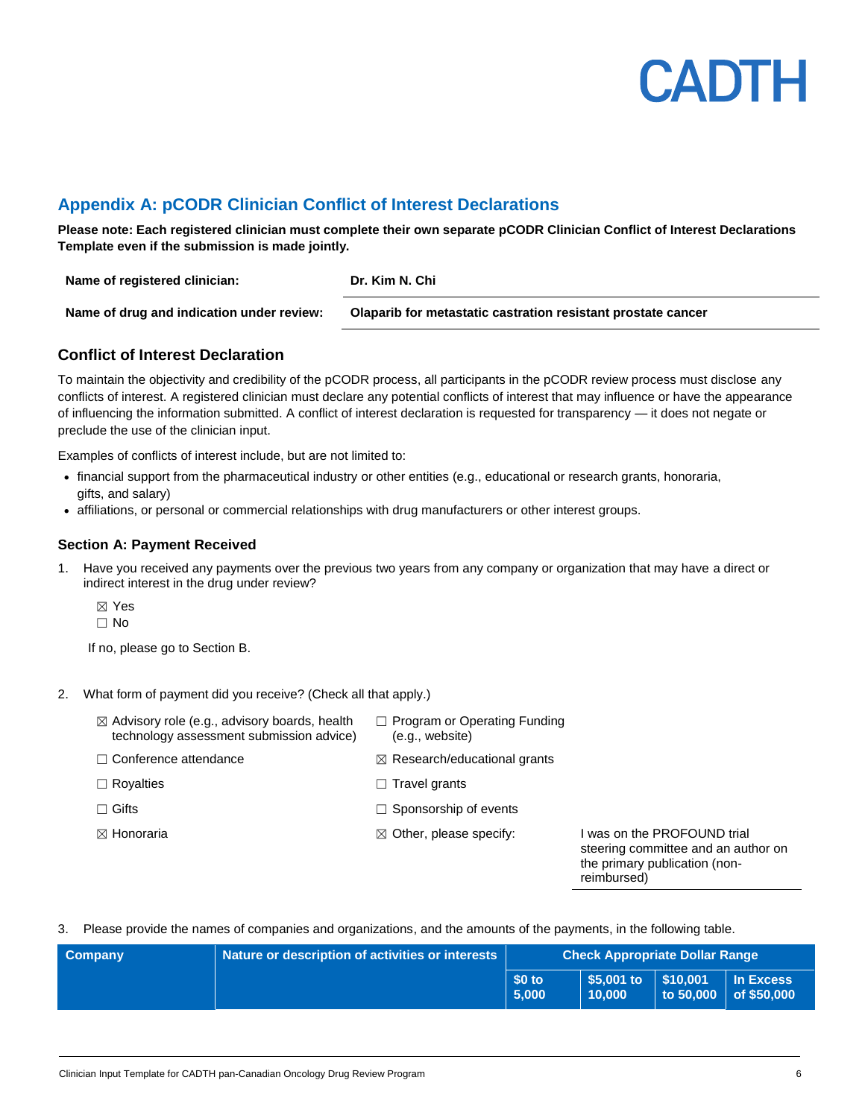#### **Appendix A: pCODR Clinician Conflict of Interest Declarations**

**Please note: Each registered clinician must complete their own separate pCODR Clinician Conflict of Interest Declarations Template even if the submission is made jointly.**

**Name of registered clinician: Dr. Kim N. Chi** 

**Name of drug and indication under review: Olaparib for metastatic castration resistant prostate cancer**

#### **Conflict of Interest Declaration**

To maintain the objectivity and credibility of the pCODR process, all participants in the pCODR review process must disclose any conflicts of interest. A registered clinician must declare any potential conflicts of interest that may influence or have the appearance of influencing the information submitted. A conflict of interest declaration is requested for transparency — it does not negate or preclude the use of the clinician input.

Examples of conflicts of interest include, but are not limited to:

- financial support from the pharmaceutical industry or other entities (e.g., educational or research grants, honoraria, gifts, and salary)
- affiliations, or personal or commercial relationships with drug manufacturers or other interest groups.

#### **Section A: Payment Received**

- 1. Have you received any payments over the previous two years from any company or organization that may have a direct or indirect interest in the drug under review?
	- ☒ Yes
	- ☐ No

If no, please go to Section B.

2. What form of payment did you receive? (Check all that apply.)

| $\boxtimes$ Advisory role (e.g., advisory boards, health<br>technology assessment submission advice) | $\Box$ Program or Operating Funding<br>(e.q., website) |                                                                                                                    |
|------------------------------------------------------------------------------------------------------|--------------------------------------------------------|--------------------------------------------------------------------------------------------------------------------|
| $\lnot$ Conference attendance                                                                        | $\boxtimes$ Research/educational grants                |                                                                                                                    |
| $\Box$ Royalties                                                                                     | $\Box$ Travel grants                                   |                                                                                                                    |
| □ Gifts                                                                                              | $\Box$ Sponsorship of events                           |                                                                                                                    |
| ⊠ Honoraria                                                                                          | $\boxtimes$ Other, please specify:                     | I was on the PROFOUND trial<br>steering committee and an author on<br>the primary publication (non-<br>reimbursed) |

3. Please provide the names of companies and organizations, and the amounts of the payments, in the following table.

| <b>Company</b> | Nature or description of activities or interests $\parallel$ |                  | <b>Check Appropriate Dollar Range</b>                                    |                                                            |
|----------------|--------------------------------------------------------------|------------------|--------------------------------------------------------------------------|------------------------------------------------------------|
|                |                                                              | $$0$ to<br>5,000 | $\frac{1}{2}$ \$5,001 to $\frac{1}{2}$ \$10,001<br>$\blacksquare$ 10.000 | In Excess<br>$\vert$ to 50,000 $\vert$ of \$50,000 $\vert$ |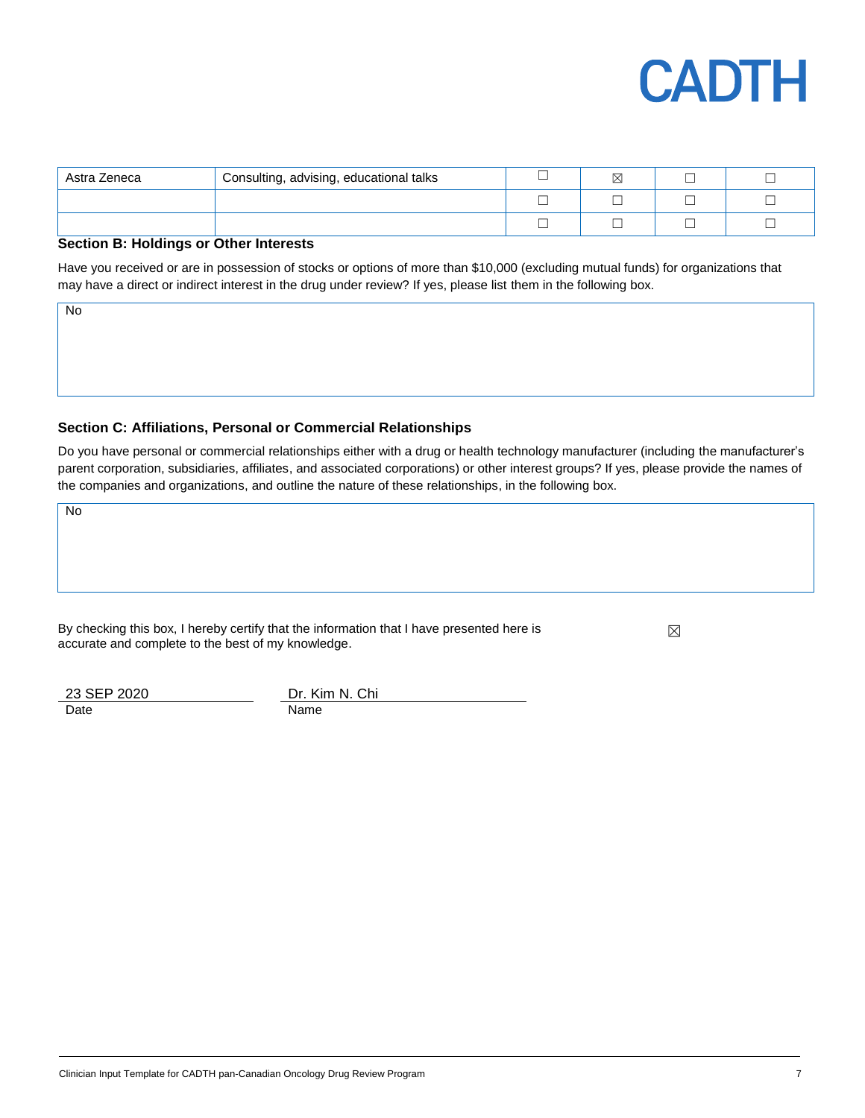| Astra Zeneca | Consulting, advising, educational talks | ⋉ |  |
|--------------|-----------------------------------------|---|--|
|              |                                         |   |  |
|              |                                         |   |  |

#### **Section B: Holdings or Other Interests**

Have you received or are in possession of stocks or options of more than \$10,000 (excluding mutual funds) for organizations that may have a direct or indirect interest in the drug under review? If yes, please list them in the following box.

No

#### **Section C: Affiliations, Personal or Commercial Relationships**

Do you have personal or commercial relationships either with a drug or health technology manufacturer (including the manufacturer's parent corporation, subsidiaries, affiliates, and associated corporations) or other interest groups? If yes, please provide the names of the companies and organizations, and outline the nature of these relationships, in the following box.

No

By checking this box, I hereby certify that the information that I have presented here is accurate and complete to the best of my knowledge.

☒

23 SEP 2020 Dr. Kim N. Chi

Date Name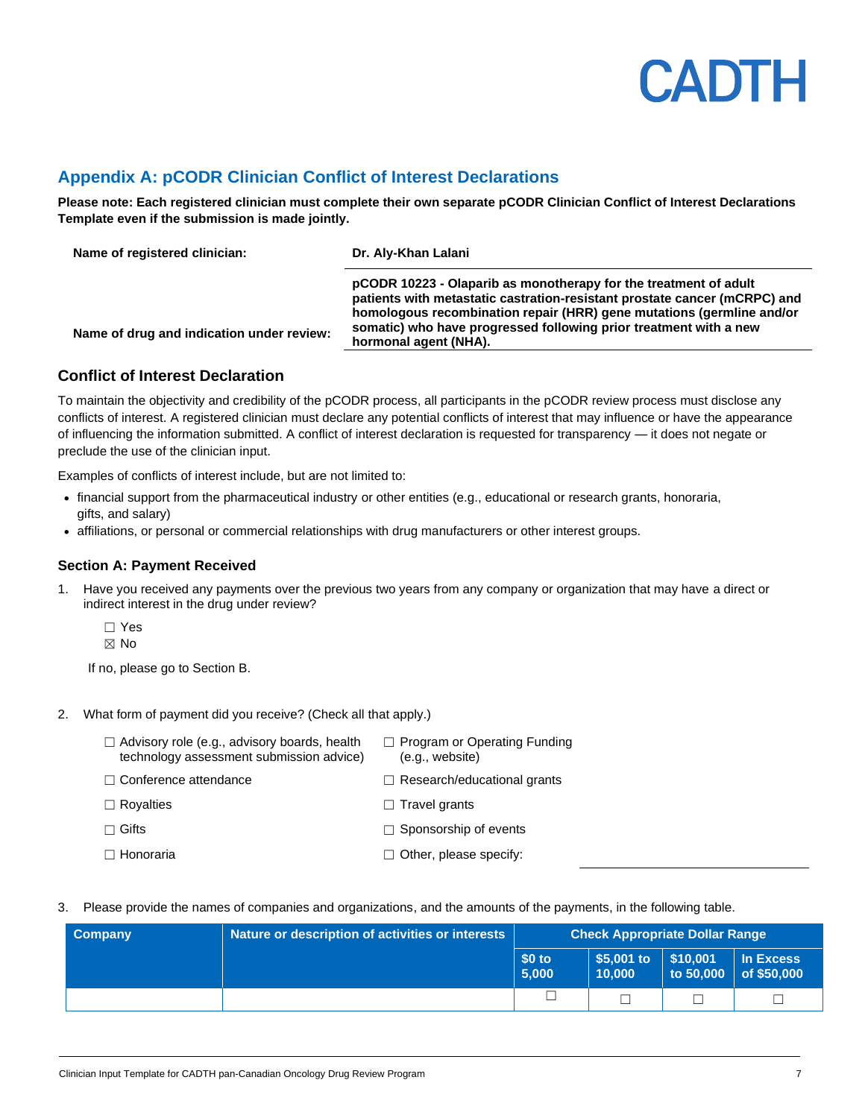### **Appendix A: pCODR Clinician Conflict of Interest Declarations**

**Please note: Each registered clinician must complete their own separate pCODR Clinician Conflict of Interest Declarations Template even if the submission is made jointly.**

| Name of registered clinician:             | Dr. Aly-Khan Lalani                                                                                                                                                                                                    |
|-------------------------------------------|------------------------------------------------------------------------------------------------------------------------------------------------------------------------------------------------------------------------|
|                                           | pCODR 10223 - Olaparib as monotherapy for the treatment of adult<br>patients with metastatic castration-resistant prostate cancer (mCRPC) and<br>homologous recombination repair (HRR) gene mutations (germline and/or |
| Name of drug and indication under review: | somatic) who have progressed following prior treatment with a new<br>hormonal agent (NHA).                                                                                                                             |

#### **Conflict of Interest Declaration**

To maintain the objectivity and credibility of the pCODR process, all participants in the pCODR review process must disclose any conflicts of interest. A registered clinician must declare any potential conflicts of interest that may influence or have the appearance of influencing the information submitted. A conflict of interest declaration is requested for transparency — it does not negate or preclude the use of the clinician input.

Examples of conflicts of interest include, but are not limited to:

- financial support from the pharmaceutical industry or other entities (e.g., educational or research grants, honoraria, gifts, and salary)
- affiliations, or personal or commercial relationships with drug manufacturers or other interest groups.

#### **Section A: Payment Received**

- 1. Have you received any payments over the previous two years from any company or organization that may have a direct or indirect interest in the drug under review?
	- ☐ Yes
	- ☒ No

If no, please go to Section B.

2. What form of payment did you receive? (Check all that apply.)

| $\Box$ Advisory role (e.g., advisory boards, health<br>technology assessment submission advice) | $\Box$ Program or Operating Funding<br>(e.g., website) |
|-------------------------------------------------------------------------------------------------|--------------------------------------------------------|
| $\Box$ Conference attendance                                                                    | $\Box$ Research/educational grants                     |
| $\Box$ Royalties                                                                                | $\Box$ Travel grants                                   |
| $\Box$ Gifts                                                                                    | $\Box$ Sponsorship of events                           |
| $\Box$ Honoraria                                                                                | $\Box$ Other, please specify:                          |

3. Please provide the names of companies and organizations, and the amounts of the payments, in the following table.

| <b>Company</b> | Nature or description of activities or interests |                  | <b>Check Appropriate Dollar Range</b>       |                                          |
|----------------|--------------------------------------------------|------------------|---------------------------------------------|------------------------------------------|
|                |                                                  | $$0$ to<br>5,000 | ∫ \$5,001 to <u>↓</u> \$10,001 }<br> 10,000 | In Excess<br>  to $50,000$   of \$50,000 |
|                |                                                  |                  |                                             |                                          |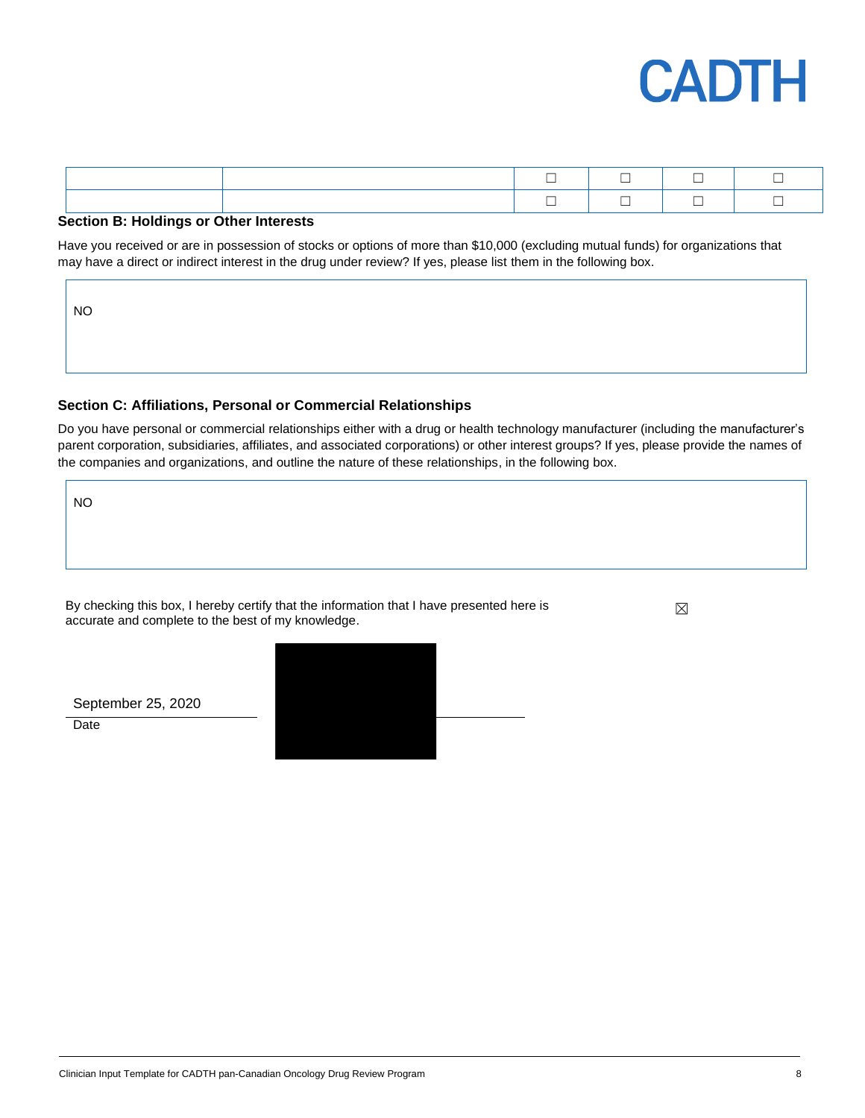

|  | $\overline{\phantom{0}}$ |  |
|--|--------------------------|--|
|  | $\overline{\phantom{0}}$ |  |

#### **Section B: Holdings or Other Interests**

Have you received or are in possession of stocks or options of more than \$10,000 (excluding mutual funds) for organizations that may have a direct or indirect interest in the drug under review? If yes, please list them in the following box.

NO

#### **Section C: Affiliations, Personal or Commercial Relationships**

Do you have personal or commercial relationships either with a drug or health technology manufacturer (including the manufacturer's parent corporation, subsidiaries, affiliates, and associated corporations) or other interest groups? If yes, please provide the names of the companies and organizations, and outline the nature of these relationships, in the following box.

NO

By checking this box, I hereby certify that the information that I have presented here is accurate and complete to the best of my knowledge.

☒

September 25, 2020

**Date**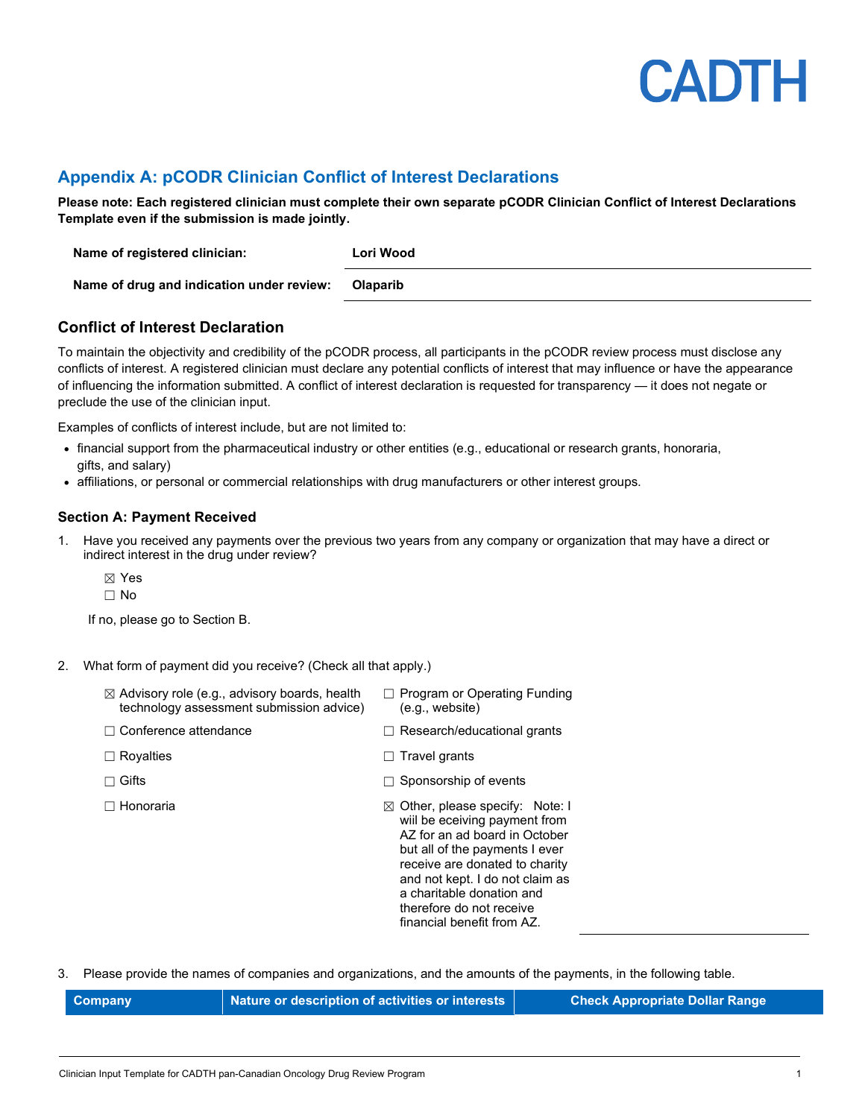#### **Appendix A: pCODR Clinician Conflict of Interest Declarations**

**Please note: Each registered clinician must complete their own separate pCODR Clinician Conflict of Interest Declarations Template even if the submission is made jointly.**

| Name of registered clinician:             | Lori Wood       |
|-------------------------------------------|-----------------|
| Name of drug and indication under review: | <b>Olaparib</b> |

#### **Conflict of Interest Declaration**

To maintain the objectivity and credibility of the pCODR process, all participants in the pCODR review process must disclose any conflicts of interest. A registered clinician must declare any potential conflicts of interest that may influence or have the appearance of influencing the information submitted. A conflict of interest declaration is requested for transparency — it does not negate or preclude the use of the clinician input.

Examples of conflicts of interest include, but are not limited to:

- financial support from the pharmaceutical industry or other entities (e.g., educational or research grants, honoraria, gifts, and salary)
- affiliations, or personal or commercial relationships with drug manufacturers or other interest groups.

#### **Section A: Payment Received**

- 1. Have you received any payments over the previous two years from any company or organization that may have a direct or indirect interest in the drug under review?
	- ☒ Yes
	- ☐ No

If no, please go to Section B.

- 2. What form of payment did you receive? (Check all that apply.)
	- ☒ Advisory role (e.g., advisory boards, health technology assessment submission advice) □ Program or Operating Funding (e.g., website)
	- ☐ Conference attendance ☐ Research/educational grants
	-
	-
	-
- 
- ☐ Royalties ☐ Travel grants
- ☐ Gifts ☐ Sponsorship of events
- ☐ Honoraria ☒ Other, please specify: Note: I wiil be eceiving payment from AZ for an ad board in October but all of the payments I ever receive are donated to charity and not kept. I do not claim as a charitable donation and therefore do not receive financial benefit from AZ.
- 3. Please provide the names of companies and organizations, and the amounts of the payments, in the following table.

| Nature or description of activities or interests  <br><b>Company</b> | <b>Check Appropriate Dollar Range</b> |
|----------------------------------------------------------------------|---------------------------------------|
|----------------------------------------------------------------------|---------------------------------------|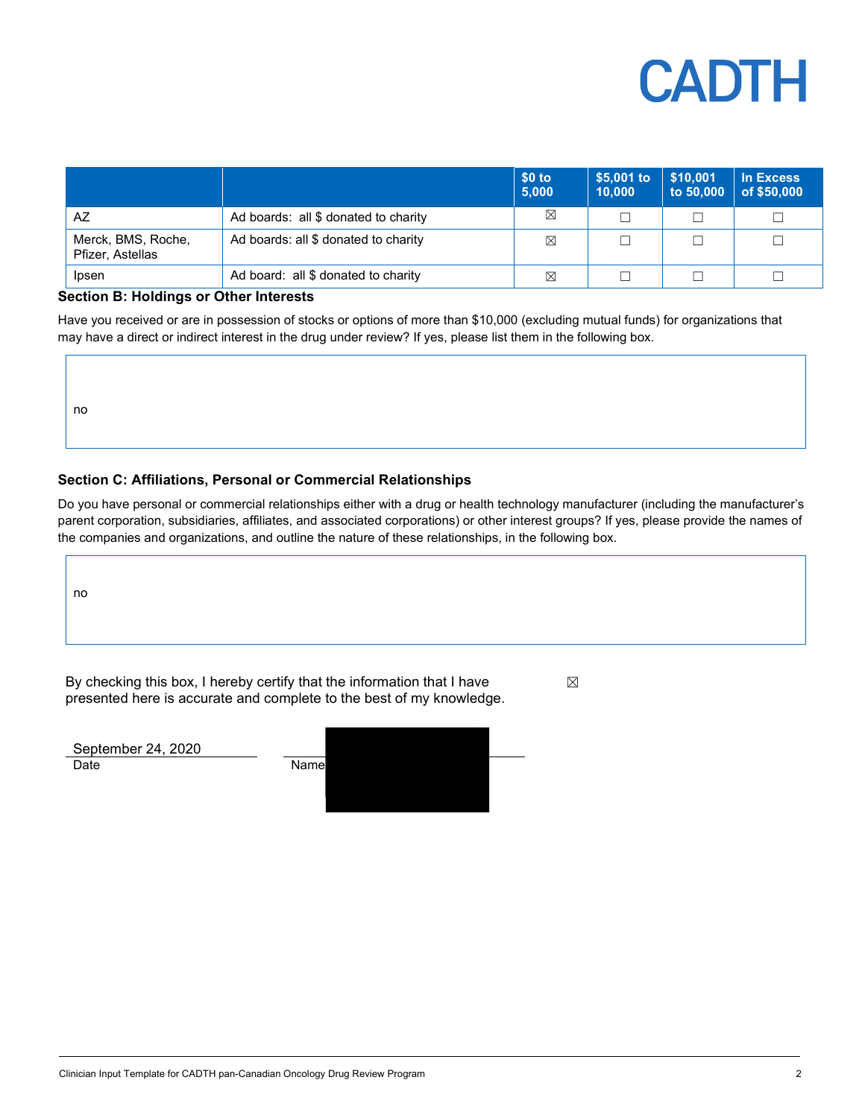|                                        |                                      | $$0$ to<br>5.000 | $$5,001$ to<br>10,000 | \$10,001<br>to 50,000 | In Excess<br>of \$50,000 |
|----------------------------------------|--------------------------------------|------------------|-----------------------|-----------------------|--------------------------|
| AZ                                     | Ad boards: all \$ donated to charity | ⊠                |                       |                       |                          |
| Merck, BMS, Roche,<br>Pfizer, Astellas | Ad boards: all \$ donated to charity | ⊠                |                       |                       |                          |
| Ipsen                                  | Ad board: all \$ donated to charity  | ⊠                |                       |                       |                          |

#### **Section B: Holdings or Other Interests**

Have you received or are in possession of stocks or options of more than \$10,000 (excluding mutual funds) for organizations that may have a direct or indirect interest in the drug under review? If yes, please list them in the following box.

no

#### **Section C: Affiliations, Personal or Commercial Relationships**

Do you have personal or commercial relationships either with a drug or health technology manufacturer (including the manufacturer's parent corporation, subsidiaries, affiliates, and associated corporations) or other interest groups? If yes, please provide the names of the companies and organizations, and outline the nature of these relationships, in the following box.

no

By checking this box, I hereby certify that the information that I have presented here is accurate and complete to the best of my knowledge.

September 24, 2020

Name

☒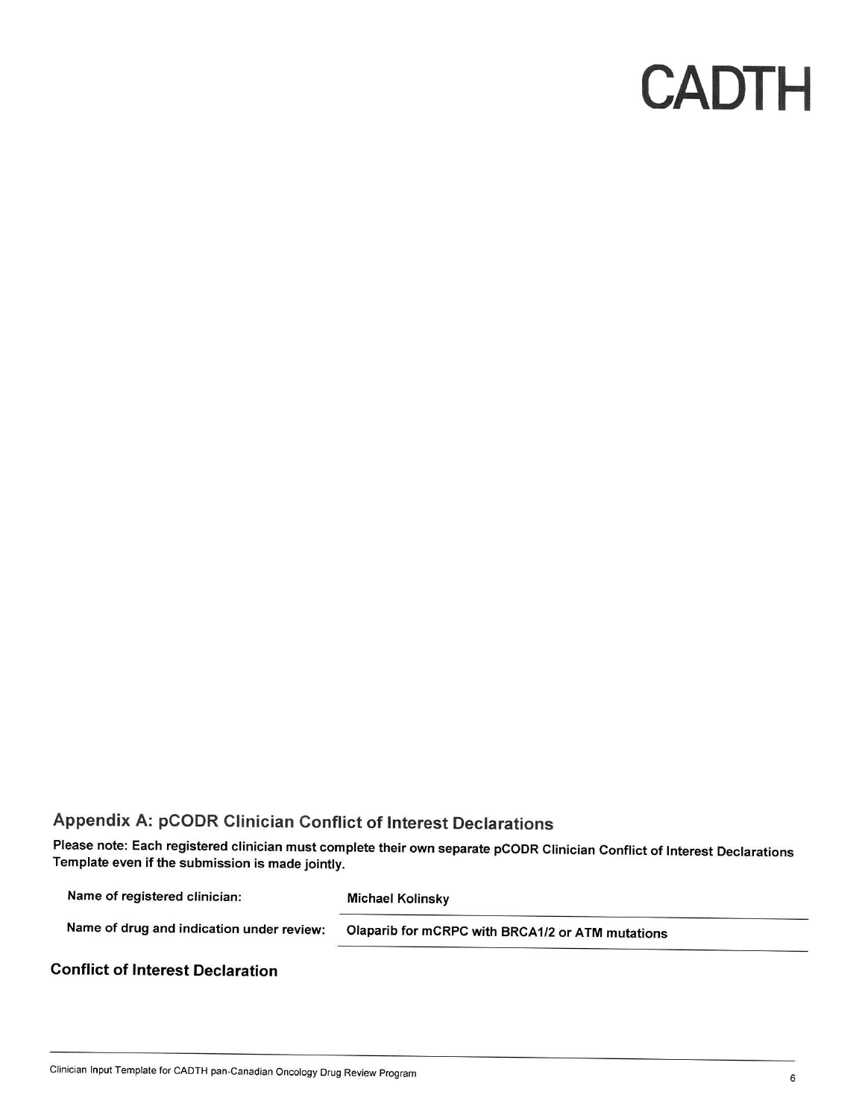### Appendix A: pCODR Clinician Conflict of Interest Declarations

Please note: Each registered clinician must complete their own separate pCODR Clinician Conflict of Interest Declarations Template even if the submission is made jointly.

| Name of registered clinician:             | <b>Michael Kolinsky</b>                          |  |
|-------------------------------------------|--------------------------------------------------|--|
| Name of drug and indication under review: | Olaparib for mCRPC with BRCA1/2 or ATM mutations |  |
|                                           |                                                  |  |

#### **Conflict of Interest Declaration**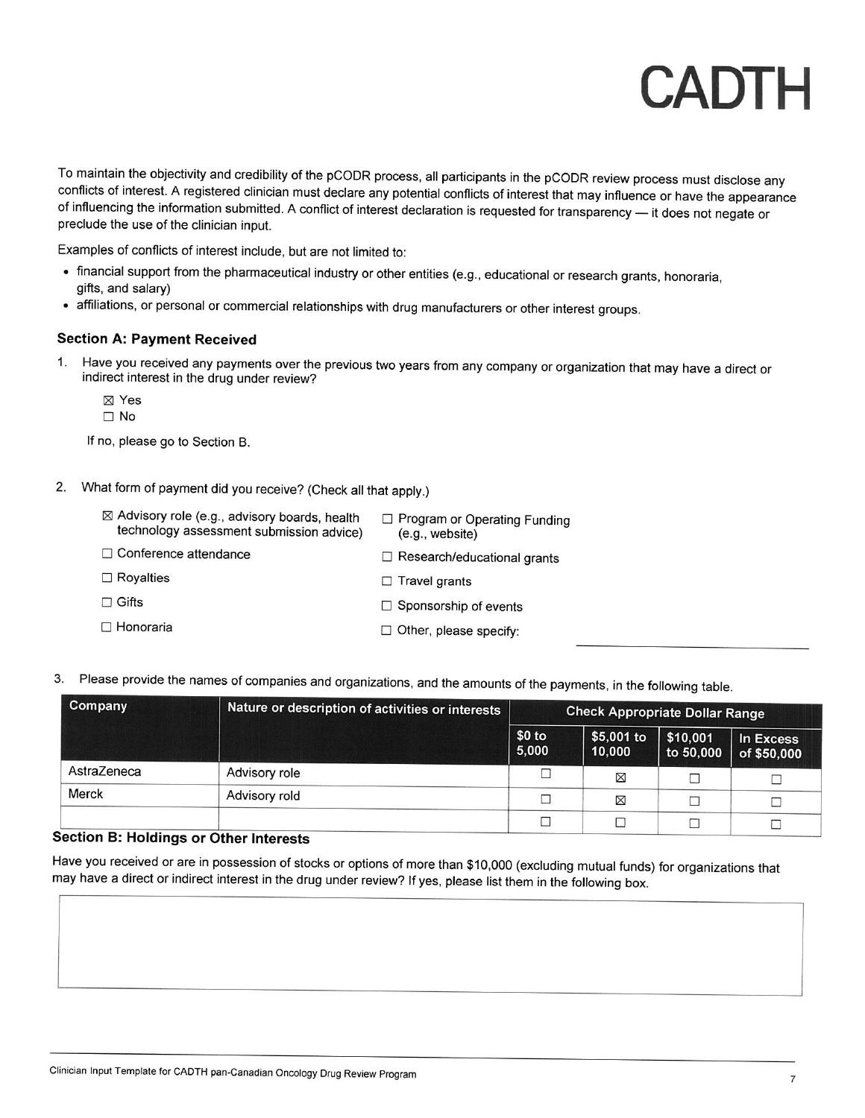To maintain the objectivity and credibility of the pCODR process, all participants in the pCODR review process must disclose any conflicts of interest. A registered clinician must declare any potential conflicts of interest that may influence or have the appearance of influencing the information submitted. A conflict of interest declaration is requested for transparency - it does not negate or preclude the use of the clinician input.

Examples of conflicts of interest include, but are not limited to:

- financial support from the pharmaceutical industry or other entities (e.g., educational or research grants, honoraria, gifts, and salary)
- · affiliations, or personal or commercial relationships with drug manufacturers or other interest groups.

#### **Section A: Payment Received**

- Have you received any payments over the previous two years from any company or organization that may have a direct or 1. indirect interest in the drug under review?
	- $\boxtimes$  Yes
	- $\Box$  No

If no, please go to Section B.

#### $2.$ What form of payment did you receive? (Check all that apply.)

- ⊠ Advisory role (e.g., advisory boards, health technology assessment submission advice)
- □ Program or Operating Funding (e.g., website)

Research/educational grants

□ Conference attendance

 $\Box$  Travel grants

- $\Box$  Royalties  $\Box$  Gifts
- $\Box$  Honoraria
- □ Sponsorship of events
- □ Other, please specify:
- Please provide the names of companies and organizations, and the amounts of the payments, in the following table. 3.

| Company      | Nature or description of activities or interests | <b>Check Appropriate Dollar Range</b> |                      |                       |                          |
|--------------|--------------------------------------------------|---------------------------------------|----------------------|-----------------------|--------------------------|
|              |                                                  | \$0 to<br>5,000                       | \$5,001 to<br>10,000 | \$10,001<br>to 50,000 | In Excess<br>of \$50,000 |
| AstraZeneca  | Advisory role                                    |                                       | ⊠                    |                       |                          |
| <b>Merck</b> | Advisory rold                                    |                                       | ⊠                    |                       |                          |
|              |                                                  |                                       |                      |                       |                          |

#### **Section B: Holdings or Other Interests**

Have you received or are in possession of stocks or options of more than \$10,000 (excluding mutual funds) for organizations that may have a direct or indirect interest in the drug under review? If yes, please list them in the following box.